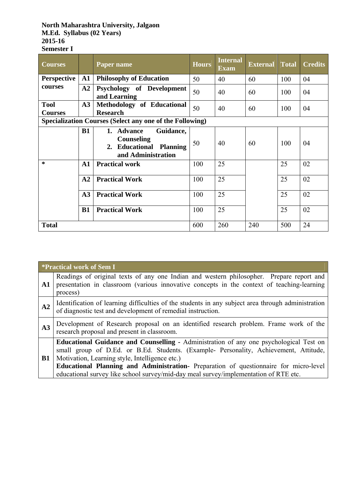#### **North Maharashtra University, Jalgaon M.Ed. Syllabus (02 Years) 2015-16 Semester I**

| <b>Courses</b>                |               | Paper name                                                                                    | <b>Hours</b> | <b>Internal</b><br><b>Exam</b> | <b>External</b> | <b>Total</b> | <b>Credits</b> |
|-------------------------------|---------------|-----------------------------------------------------------------------------------------------|--------------|--------------------------------|-----------------|--------------|----------------|
| <b>Perspective</b>            | $\mathbf{A1}$ | <b>Philosophy of Education</b>                                                                | 50           | 40                             | 60              | 100          | 04             |
| courses                       | A2            | Psychology of Development<br>and Learning                                                     | 50           | 40                             | 60              | 100          | 04             |
| <b>Tool</b><br><b>Courses</b> | A3            | <b>Methodology of Educational</b><br><b>Research</b>                                          | 50           | 40                             | 60              | 100          | 04             |
|                               |               | <b>Specialization Courses (Select any one of the Following)</b>                               |              |                                |                 |              |                |
|                               | <b>B1</b>     | 1. Advance<br>Guidance,<br><b>Counseling</b><br>2. Educational Planning<br>and Administration | 50           | 40                             | 60              | 100          | 04             |
| ∗                             | $\mathbf{A1}$ | <b>Practical work</b>                                                                         | 100          | 25                             |                 | 25           | 02             |
|                               | A2            | <b>Practical Work</b>                                                                         | 100          | 25                             |                 | 25           | 02             |
|                               | A3            | <b>Practical Work</b>                                                                         | 100          | 25                             |                 | 25           | 02             |
|                               | B1            | <b>Practical Work</b>                                                                         | 100          | 25                             |                 | 25           | 02             |
| <b>Total</b>                  |               |                                                                                               | 600          | 260                            | 240             | 500          | 24             |

|            | <i>*Practical work of Sem I</i>                                                                                                                                                                                                                                                                                                                                                                                    |
|------------|--------------------------------------------------------------------------------------------------------------------------------------------------------------------------------------------------------------------------------------------------------------------------------------------------------------------------------------------------------------------------------------------------------------------|
| ${\bf A1}$ | Readings of original texts of any one Indian and western philosopher. Prepare report and<br>presentation in classroom (various innovative concepts in the context of teaching-learning<br>process)                                                                                                                                                                                                                 |
| A2         | Identification of learning difficulties of the students in any subject area through administration<br>of diagnostic test and development of remedial instruction.                                                                                                                                                                                                                                                  |
| A3         | Development of Research proposal on an identified research problem. Frame work of the<br>research proposal and present in classroom.                                                                                                                                                                                                                                                                               |
| B1         | Educational Guidance and Counselling - Administration of any one psychological Test on<br>small group of D.Ed. or B.Ed. Students. (Example- Personality, Achievement, Attitude,<br>Motivation, Learning style, Intelligence etc.)<br>Educational Planning and Administration- Preparation of questionnaire for micro-level<br>educational survey like school survey/mid-day meal survey/implementation of RTE etc. |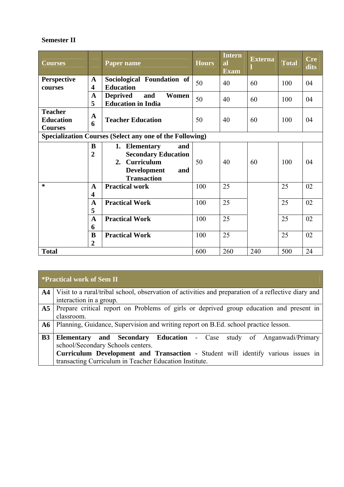### **Semester II**

| <b>Courses</b>                                           |                                         | Paper name                                                                                                                       | <b>Hours</b> | <b>Intern</b><br><b>al</b><br><b>Exam</b> | <b>Externa</b> | Total | <b>Cre</b><br>dits |
|----------------------------------------------------------|-----------------------------------------|----------------------------------------------------------------------------------------------------------------------------------|--------------|-------------------------------------------|----------------|-------|--------------------|
| <b>Perspective</b><br>courses                            | $\mathbf{A}$<br>4                       | Sociological Foundation of<br><b>Education</b>                                                                                   | 50           | 40                                        | 60             | 100   | 04                 |
|                                                          | $\mathbf{A}$<br>5                       | <b>Deprived</b><br>Women<br>and<br><b>Education in India</b>                                                                     | 50           | 40                                        | 60             | 100   | 04                 |
| <b>Teacher</b><br><b>Education</b><br><b>Courses</b>     | $\mathbf A$<br>6                        | <b>Teacher Education</b>                                                                                                         | 50           | 40                                        | 60             | 100   | 04                 |
| Specialization Courses (Select any one of the Following) |                                         |                                                                                                                                  |              |                                           |                |       |                    |
|                                                          | B<br>$\overline{2}$                     | <b>Elementary</b><br>and<br>1.<br><b>Secondary Education</b><br>2. Curriculum<br><b>Development</b><br>and<br><b>Transaction</b> | 50           | 40                                        | 60             | 100   | 04                 |
| $\ast$                                                   | $\mathbf{A}$<br>$\overline{\mathbf{4}}$ | <b>Practical work</b>                                                                                                            | 100          | 25                                        |                | 25    | 02                 |
|                                                          | $\mathbf A$<br>5                        | <b>Practical Work</b>                                                                                                            | 100          | 25                                        |                | 25    | 02                 |
|                                                          | $\mathbf{A}$<br>6                       | <b>Practical Work</b>                                                                                                            | 100          | 25                                        |                | 25    | 02                 |
|                                                          | $\bf{B}$<br>$\overline{2}$              | <b>Practical Work</b>                                                                                                            | 100          | 25                                        |                | 25    | 02                 |
| <b>Total</b>                                             |                                         |                                                                                                                                  | 600          | 260                                       | 240            | 500   | 24                 |

# **\*Practical work of Sem II**

|                | A4   Visit to a rural/tribal school, observation of activities and preparation of a reflective diary and |  |  |  |  |  |  |  |
|----------------|----------------------------------------------------------------------------------------------------------|--|--|--|--|--|--|--|
|                | interaction in a group.                                                                                  |  |  |  |  |  |  |  |
|                | A5   Prepare critical report on Problems of girls or deprived group education and present in             |  |  |  |  |  |  |  |
|                | classroom.                                                                                               |  |  |  |  |  |  |  |
|                | A6   Planning, Guidance, Supervision and writing report on B.Ed. school practice lesson.                 |  |  |  |  |  |  |  |
|                |                                                                                                          |  |  |  |  |  |  |  |
| B <sub>3</sub> | <b>Elementary and Secondary Education - Case study of Anganwadi/Primary</b>                              |  |  |  |  |  |  |  |
|                | school/Secondary Schools centers.                                                                        |  |  |  |  |  |  |  |
|                | Curriculum Development and Transaction - Student will identify various issues in                         |  |  |  |  |  |  |  |
|                | transacting Curriculum in Teacher Education Institute.                                                   |  |  |  |  |  |  |  |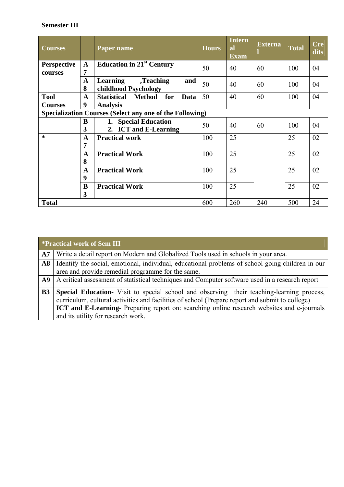# **Semester III**

| <b>Courses</b>                |                  | Paper name                                               | <b>Hours</b> | Intern<br><b>al</b><br><b>Exam</b> | <b>Externa</b> | <b>Total</b> | <b>Cre</b><br>dits |
|-------------------------------|------------------|----------------------------------------------------------|--------------|------------------------------------|----------------|--------------|--------------------|
| <b>Perspective</b><br>courses | $\mathbf A$<br>7 | Education in $21st$ Century                              | 50           | 40                                 | 60             | 100          | 04                 |
|                               | A<br>8           | ,Teaching<br>Learning<br>and<br>childhood Psychology     | 50           | 40                                 | 60             | 100          | 04                 |
| <b>Tool</b>                   | $\mathbf{A}$     | <b>Statistical</b><br>Method for<br>Data                 | 50           | 40                                 | 60             | 100          | 04                 |
| <b>Courses</b>                | 9                | <b>Analysis</b>                                          |              |                                    |                |              |                    |
|                               |                  | Specialization Courses (Select any one of the Following) |              |                                    |                |              |                    |
|                               | B                | 1. Special Education                                     | 50           | 40                                 | 60             | 100          | 04                 |
|                               | 3                | 2. ICT and E-Learning                                    |              |                                    |                |              |                    |
| $\ast$                        | $\mathbf A$      | <b>Practical work</b>                                    | 100          | 25                                 |                | 25           | 02                 |
|                               | 7                |                                                          |              |                                    |                |              |                    |
|                               | $\mathbf A$      | <b>Practical Work</b>                                    | 100          | 25                                 |                | 25           | 02                 |
|                               | 8                |                                                          |              |                                    |                |              |                    |
|                               | $\mathbf A$      | <b>Practical Work</b>                                    | 100          | 25                                 |                | 25           | 02                 |
|                               | 9                |                                                          |              |                                    |                |              |                    |
|                               | B                | <b>Practical Work</b>                                    | 100          | 25                                 |                | 25           | 02                 |
|                               | 3                |                                                          |              |                                    |                |              |                    |
| <b>Total</b>                  |                  |                                                          | 600          | 260                                | 240            | 500          | 24                 |

|            | <b>*Practical work of Sem III</b>                                                                                                                                                                                                                                                                                                      |
|------------|----------------------------------------------------------------------------------------------------------------------------------------------------------------------------------------------------------------------------------------------------------------------------------------------------------------------------------------|
| ${\bf A7}$ | Write a detail report on Modern and Globalized Tools used in schools in your area.                                                                                                                                                                                                                                                     |
|            | A8   Identify the social, emotional, individual, educational problems of school going children in our<br>area and provide remedial programme for the same.                                                                                                                                                                             |
|            | A9   A critical assessment of statistical techniques and Computer software used in a research report                                                                                                                                                                                                                                   |
| <b>B3</b>  | Special Education Visit to special school and observing their teaching-learning process,<br>curriculum, cultural activities and facilities of school (Prepare report and submit to college)<br><b>ICT and E-Learning-</b> Preparing report on: searching online research websites and e-journals<br>and its utility for research work. |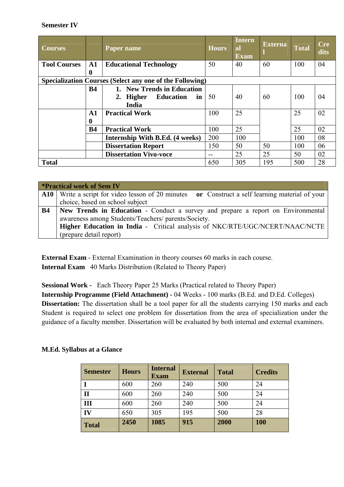#### **Semester IV**

| <b>Courses</b>      |               | Paper name                                               | <b>Hours</b> | Intern<br>al<br><b>Exam</b> | <b>Externa</b> | <b>Total</b> | <b>Cre</b><br>dits |
|---------------------|---------------|----------------------------------------------------------|--------------|-----------------------------|----------------|--------------|--------------------|
| <b>Tool Courses</b> | $\mathbf{A1}$ | <b>Educational Technology</b>                            | 50           | 40                          | 60             | 100          | 04                 |
|                     | 0             |                                                          |              |                             |                |              |                    |
|                     |               | Specialization Courses (Select any one of the Following) |              |                             |                |              |                    |
|                     | <b>B4</b>     | 1. New Trends in Education                               |              |                             |                |              |                    |
|                     |               | <b>Education</b><br>2. Higher<br>in                      | 50           | 40                          | 60             | 100          | 04                 |
|                     |               | India                                                    |              |                             |                |              |                    |
|                     | $\mathbf{A1}$ | <b>Practical Work</b>                                    | 100          | 25                          |                | 25           | 02                 |
|                     | v             |                                                          |              |                             |                |              |                    |
|                     | <b>B4</b>     | <b>Practical Work</b>                                    | 100          | 25                          |                | 25           | 02                 |
|                     |               | Internship With B.Ed. (4 weeks)                          | 200          | 100                         |                | 100          | 08                 |
|                     |               | <b>Dissertation Report</b>                               | 150          | 50                          | 50             | 100          | 06                 |
|                     |               | <b>Dissertation Vivo-voce</b>                            |              | 25                          | 25             | 50           | 02                 |
| <b>Total</b>        |               |                                                          | 650          | 305                         | 195            | 500          | 28                 |

|           | <b>*Practical work of Sem IV</b>                                                                |
|-----------|-------------------------------------------------------------------------------------------------|
|           | A10 Write a script for video lesson of 20 minutes or Construct a self learning material of your |
|           | choice, based on school subject                                                                 |
| <b>B4</b> | New Trends in Education - Conduct a survey and prepare a report on Environmental                |
|           | awareness among Students/Teachers/ parents/Society.                                             |
|           | Higher Education in India - Critical analysis of NKC/RTE/UGC/NCERT/NAAC/NCTE                    |
|           | (prepare detail report)                                                                         |

**External Exam** - External Examination in theory courses 60 marks in each course. **Internal Exam** 40 Marks Distribution (Related to Theory Paper)

**Sessional Work -** Each Theory Paper 25 Marks (Practical related to Theory Paper) **Internship Programme (Field Attachment) - 04 Weeks - 100 marks (B.Ed. and D.Ed. Colleges) Dissertation:** The dissertation shall be a tool paper for all the students carrying 150 marks and each Student is required to select one problem for dissertation from the area of specialization under the guidance of a faculty member. Dissertation will be evaluated by both internal and external examiners.

| <b>Semester</b> | <b>Hours</b> | <b>Internal</b><br><b>Exam</b> | <b>External</b> | <b>Total</b> | <b>Credits</b> |
|-----------------|--------------|--------------------------------|-----------------|--------------|----------------|
|                 | 600          | 260                            | 240             | 500          | 24             |
| $\mathbf{I}$    | 600          | 260                            | 240             | 500          | 24             |
| Ш               | 600          | 260                            | 240             | 500          | 24             |
| IV              | 650          | 305                            | 195             | 500          | 28             |
| <b>Total</b>    | 2450         | 1085                           | 915             | 2000         | 100            |

#### **M.Ed. Syllabus at a Glance**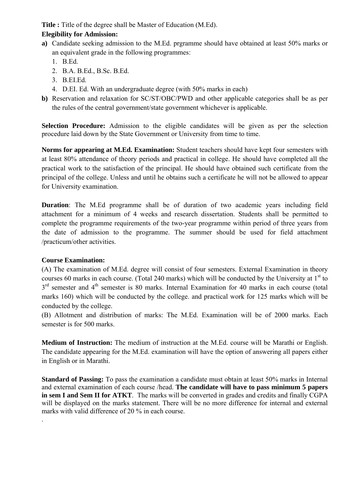**Title :** Title of the degree shall be Master of Education (M.Ed).

### **Elegibility for Admission:**

- **a)** Candidate seeking admission to the M.Ed. prgramme should have obtained at least 50% marks or an equivalent grade in the following programmes:
	- $1$  B.Ed.
	- 2. B.A. B.Ed., B.Sc. B.Ed.
	- 3. B.EI.Ed.
	- 4. D.EI. Ed. With an undergraduate degree (with 50% marks in each)
- **b)** Reservation and relaxation for SC/ST/OBC/PWD and other applicable categories shall be as per the rules of the central government/state government whichever is applicable.

**Selection Procedure:** Admission to the eligible candidates will be given as per the selection procedure laid down by the State Government or University from time to time.

**Norms for appearing at M.Ed. Examination:** Student teachers should have kept four semesters with at least 80% attendance of theory periods and practical in college. He should have completed all the practical work to the satisfaction of the principal. He should have obtained such certificate from the principal of the college. Unless and until he obtains such a certificate he will not be allowed to appear for University examination.

**Duration**: The M.Ed programme shall be of duration of two academic years including field attachment for a minimum of 4 weeks and research dissertation. Students shall be permitted to complete the programme requirements of the two-year programme within period of three years from the date of admission to the programme. The summer should be used for field attachment /practicum/other activities.

# **Course Examination:**

.

(A) The examination of M.Ed. degree will consist of four semesters. External Examination in theory courses 60 marks in each course. (Total 240 marks) which will be conducted by the University at  $1<sup>st</sup>$  to  $3<sup>rd</sup>$  semester and  $4<sup>th</sup>$  semester is 80 marks. Internal Examination for 40 marks in each course (total marks 160) which will be conducted by the college. and practical work for 125 marks which will be conducted by the college.

(B) Allotment and distribution of marks: The M.Ed. Examination will be of 2000 marks. Each semester is for 500 marks.

**Medium of Instruction:** The medium of instruction at the M.Ed. course will be Marathi or English. The candidate appearing for the M.Ed. examination will have the option of answering all papers either in English or in Marathi.

**Standard of Passing:** To pass the examination a candidate must obtain at least 50% marks in Internal and external examination of each course /head. **The candidate will have to pass minimum 5 papers in sem I and Sem II for ATKT**. The marks will be converted in grades and credits and finally CGPA will be displayed on the marks statement. There will be no more difference for internal and external marks with valid difference of 20 % in each course.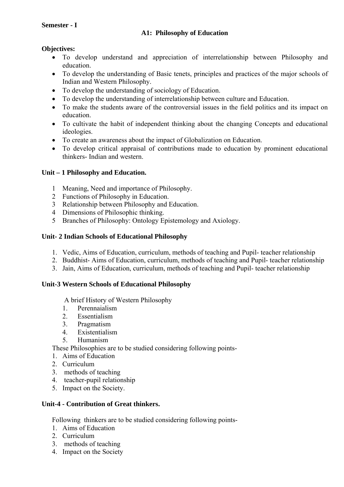#### **Semester - I**

#### **A1: Philosophy of Education**

#### **Objectives:**

- To develop understand and appreciation of interrelationship between Philosophy and education.
- To develop the understanding of Basic tenets, principles and practices of the major schools of Indian and Western Philosophy.
- To develop the understanding of sociology of Education.
- To develop the understanding of interrelationship between culture and Education.
- To make the students aware of the controversial issues in the field politics and its impact on education.
- To cultivate the habit of independent thinking about the changing Concepts and educational ideologies.
- To create an awareness about the impact of Globalization on Education.
- To develop critical appraisal of contributions made to education by prominent educational thinkers- Indian and western.

#### **Unit – 1 Philosophy and Education.**

- 1 Meaning, Need and importance of Philosophy.
- 2 Functions of Philosophy in Education.
- 3 Relationship between Philosophy and Education.
- 4 Dimensions of Philosophic thinking.
- 5 Branches of Philosophy: Ontology Epistemology and Axiology.

#### **Unit- 2 Indian Schools of Educational Philosophy**

- 1. Vedic, Aims of Education, curriculum, methods of teaching and Pupil- teacher relationship
- 2. Buddhist- Aims of Education, curriculum, methods of teaching and Pupil- teacher relationship
- 3. Jain, Aims of Education, curriculum, methods of teaching and Pupil- teacher relationship

#### **Unit-3 Western Schools of Educational Philosophy**

A brief History of Western Philosophy

- 1. Perennaialism
- 2. Essentialism
- 3. Pragmatism
- 4. Existentialism
- 5. Humanism

These Philosophies are to be studied considering following points-

- 1. Aims of Education
- 2. Curriculum
- 3. methods of teaching
- 4. teacher-pupil relationship
- 5. Impact on the Society.

# **Unit-4 - Contribution of Great thinkers.**

Following thinkers are to be studied considering following points-

- 1. Aims of Education
- 2. Curriculum
- 3. methods of teaching
- 4. Impact on the Society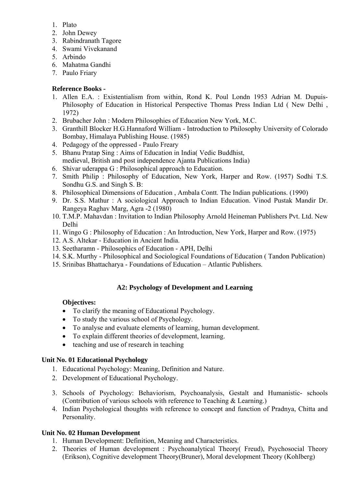- 1. Plato
- 2. John Dewey
- 3. Rabindranath Tagore
- 4. Swami Vivekanand
- 5. Arbindo
- 6. Mahatma Gandhi
- 7. Paulo Friary

# **Reference Books -**

- 1. Allen E.A. : Existentialism from within, Rond K. Poul Londn 1953 Adrian M. Dupuis-Philosophy of Education in Historical Perspective Thomas Press Indian Ltd ( New Delhi , 1972)
- 2. Brubacher John : Modern Philosophies of Education New York, M.C.
- 3. Granthill Blocker H.G.Hannaford William Introduction to Philosophy University of Colorado Bombay, Himalaya Publishing House. (1985)
- 4. Pedagogy of the oppressed Paulo Freary
- 5. Bhanu Pratap Sing : Aims of Education in India( Vedic Buddhist, medieval, British and post independence Ajanta Publications India)
- 6. Shivar uderappa G : Philosophical approach to Education.
- 7. Smith Philip : Philosophy of Education, New York, Harper and Row. (1957) Sodhi T.S. Sondhu G.S. and Singh S. B:
- 8. Philosophical Dimensions of Education , Ambala Contt. The Indian publications. (1990)
- 9. Dr. S.S. Mathur : A sociological Approach to Indian Education. Vinod Pustak Mandir Dr. Rangeya Raghav Marg, Agra -2 (1980)
- 10. T.M.P. Mahavdan : Invitation to Indian Philosophy Arnold Heineman Publishers Pvt. Ltd. New Delhi
- 11. Wingo G : Philosophy of Education : An Introduction, New York, Harper and Row. (1975)
- 12. A.S. Altekar Education in Ancient India.
- 13. Seetharamn Philosophics of Education APH, Delhi
- 14. S.K. Murthy Philosophical and Sociological Foundations of Education ( Tandon Publication)
- 15. Srinibas Bhattacharya Foundations of Education Atlantic Publishers.

# **A2: Psychology of Development and Learning**

# **Objectives:**

- To clarify the meaning of Educational Psychology.
- To study the various school of Psychology.
- To analyse and evaluate elements of learning, human development.
- To explain different theories of development, learning.
- teaching and use of research in teaching

# **Unit No. 01 Educational Psychology**

- 1. Educational Psychology: Meaning, Definition and Nature.
- 2. Development of Educational Psychology.
- 3. Schools of Psychology: Behaviorism, Psychoanalysis, Gestalt and Humanistic- schools (Contribution of various schools with reference to Teaching & Learning.)
- 4. Indian Psychological thoughts with reference to concept and function of Pradnya, Chitta and Personality.

# **Unit No. 02 Human Development**

- 1. Human Development: Definition, Meaning and Characteristics.
- 2. Theories of Human development : Psychoanalytical Theory( Freud), Psychosocial Theory (Erikson), Cognitive development Theory(Bruner), Moral development Theory (Kohlberg)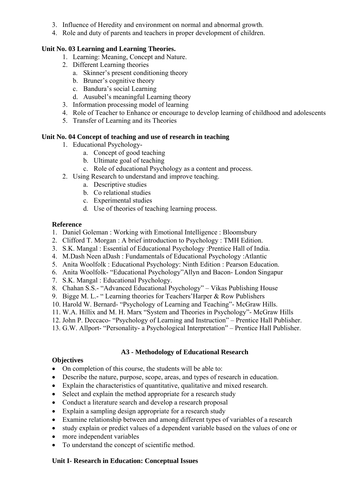- 3. Influence of Heredity and environment on normal and abnormal growth.
- 4. Role and duty of parents and teachers in proper development of children.

### **Unit No. 03 Learning and Learning Theories.**

- 1. Learning: Meaning, Concept and Nature.
- 2. Different Learning theories
	- a. Skinner's present conditioning theory
	- b. Bruner's cognitive theory
	- c. Bandura's social Learning
	- d. Ausubel's meaningful Learning theory
- 3. Information processing model of learning
- 4. Role of Teacher to Enhance or encourage to develop learning of childhood and adolescents
- 5. Transfer of Learning and its Theories

#### **Unit No. 04 Concept of teaching and use of research in teaching**

- 1. Educational Psychology
	- a. Concept of good teaching
	- b. Ultimate goal of teaching
	- c. Role of educational Psychology as a content and process.
- 2. Using Research to understand and improve teaching.
	- a. Descriptive studies
	- b. Co relational studies
	- c. Experimental studies
	- d. Use of theories of teaching learning process.

#### **Reference**

- 1. Daniel Goleman : Working with Emotional Intelligence : Bloomsbury
- 2. Clifford T. Morgan : A brief introduction to Psychology : TMH Edition.
- 3. S.K. Mangal : Essential of Educational Psychology :Prentice Hall of India.
- 4. M.Dash Neen aDash : Fundamentals of Educational Psychology :Atlantic
- 5. Anita Woolfolk : Educational Psychology: Ninth Edition : Pearson Education.
- 6. Anita Woolfolk- "Educational Psychology"Allyn and Bacon- London Singapur
- 7. S.K. Mangal : Educational Psychology.
- 8. Chahan S.S.- "Advanced Educational Psychology" Vikas Publishing House
- 9. Bigge M. L.- " Learning theories for Teachers'Harper & Row Publishers
- 10. Harold W. Bernard- "Psychology of Learning and Teaching"- McGraw Hills.
- 11. W.A. Hillix and M. H. Marx "System and Theories in Psychology"- McGraw Hills
- 12. John P. Deccaco- "Psychology of Learning and Instruction" Prentice Hall Publisher.
- 13. G.W. Allport- "Personality- a Psychological Interpretation" Prentice Hall Publisher.

# **A3 - Methodology of Educational Research**

#### **Objectives**

- On completion of this course, the students will be able to:
- Describe the nature, purpose, scope, areas, and types of research in education.
- Explain the characteristics of quantitative, qualitative and mixed research.
- Select and explain the method appropriate for a research study
- Conduct a literature search and develop a research proposal
- Explain a sampling design appropriate for a research study
- Examine relationship between and among different types of variables of a research
- study explain or predict values of a dependent variable based on the values of one or
- more independent variables
- To understand the concept of scientific method.

#### **Unit I- Research in Education: Conceptual Issues**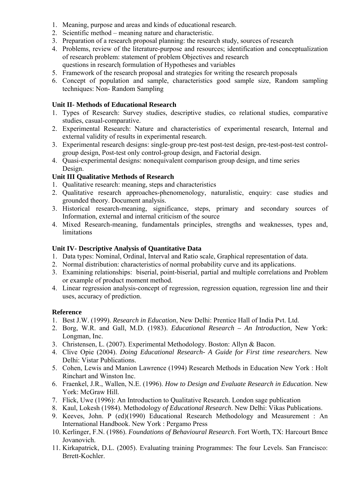- 1. Meaning, purpose and areas and kinds of educational research.
- 2. Scientific method meaning nature and characteristic.
- 3. Preparation of a research proposal planning: the research study, sources of research
- 4. Problems, review of the literature-purpose and resources; identification and conceptualization of research problem: statement of problem Objectives and research questions in research formulation of Hypotheses and variables
- 5. Framework of the research proposal and strategies for writing the research proposals
- 6. Concept of population and sample, characteristics good sample size, Random sampling techniques: Non- Random Sampling

### **Unit II- Methods of Educational Research**

- 1. Types of Research: Survey studies, descriptive studies, co relational studies, comparative studies, casual-comparative.
- 2. Experimental Research: Nature and characteristics of experimental research, Internal and external validity of results in experimental research.
- 3. Experimental research designs: single-group pre-test post-test design, pre-test-post-test controlgroup design, Post-test only control-group design, and Factorial design.
- 4. Quasi-experimental designs: nonequivalent comparison group design, and time series Design.

# **Unit III Qualitative Methods of Research**

- 1. Qualitative research: meaning, steps and characteristics
- 2. Qualitative research approaches-phenomenology, naturalistic, enquiry: case studies and grounded theory. Document analysis.
- 3. Historical research-meaning, significance, steps, primary and secondary sources of Information, external and internal criticism of the source
- 4. Mixed Research-meaning, fundamentals principles, strengths and weaknesses, types and, limitations

#### **Unit IV- Descriptive Analysis of Quantitative Data**

- 1. Data types: Nominal, Ordinal, Interval and Ratio scale, Graphical representation of data.
- 2. Normal distribution: characteristics of normal probability curve and its applications.
- 3. Examining relationships: biserial, point-biserial, partial and multiple correlations and Problem or example of product moment method.
- 4. Linear regression analysis-concept of regression, regression equation, regression line and their uses, accuracy of prediction.

#### **Reference**

- 1. Best J.W. (1999). *Research in Education*, New Delhi: Prentice Hall of India Pvt. Ltd.
- 2. Borg, W.R. and Gall, M.D. (1983). *Educational Research An Introduction,* New York: Longman, Inc.
- 3. Christensen, L. (2007). Experimental Methodology. Boston: Allyn & Bacon.
- 4. Clive Opie (2004). *Doing Educational Research- A Guide for First time researchers*. New Delhi: Vistar Publications.
- 5. Cohen, Lewis and Manion Lawrence (1994) Research Methods in Education New York : Holt Rinchart and Winston Inc.
- 6. Fraenkel, J.R., Wallen, N.E. (1996). *How to Design and Evaluate Research in Education*. New York: McGraw Hill.
- 7. Flick, Uwe (1996): An Introduction to Qualitative Research. London sage publication
- 8. Kaul, Lokesh (1984). Methodology *of Educational Research*. New Delhi: Vikas Publications.
- 9. Keeves, John. P (ed)(1990) Educational Research Methodology and Measurement : An International Handbook. New York : Pergamo Press
- 10. Kerlinger, F.N. (1986). *Foundations of Behavioural Research*. Fort Worth, TX: Harcourt Bmce Jovanovich.
- 11. Kirkapatrick, D.L. (2005). Evaluating training Programmes: The four Levels. San Francisco: Brrett-Kochler.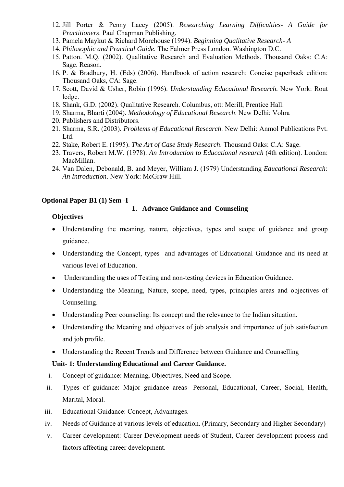- 12. Jill Porter & Penny Lacey (2005). *Researching Learning Difficulties- A Guide for Practitioners*. Paul Chapman Publishing.
- 13. Pamela Maykut & Richard Morehouse (1994). *Beginning Qualitative Research- A*
- 14. *Philosophic and Practical Guide*. The Falmer Press London. Washington D.C.
- 15. Patton. M.Q. (2002). Qualitative Research and Evaluation Methods. Thousand Oaks: C.A: Sage. Reason.
- 16. P. & Bradbury, H. (Eds) (2006). Handbook of action research: Concise paperback edition: Thousand Oaks, CA: Sage.
- 17. Scott, David & Usher, Robin (1996). *Understanding Educational Research.* New York: Rout ledge.
- 18. Shank, G.D. (2002). Qualitative Research. Columbus, ott: Merill, Prentice Hall.
- 19. Sharma, Bharti (2004). *Methodology of Educational Research*. New Delhi: Vohra
- 20. Publishers and Distributors.
- 21. Sharma, S.R. (2003). *Problems of Educational Research*. New Delhi: Anmol Publications Pvt. Ltd.
- 22. Stake, Robert E. (1995). *The Art of Case Study Research*. Thousand Oaks: C.A: Sage.
- 23. Travers, Robert M.W. (1978). *An Introduction to Educational research* (4th edition). London: MacMillan.
- 24. Van Dalen, Debonald, B. and Meyer, William J. (1979) Understanding *Educational Research: An Introduction*. New York: McGraw Hill.

#### **Optional Paper B1 (1) Sem -I**

#### **1. Advance Guidance and Counseling**

#### **Objectives**

- Understanding the meaning, nature, objectives, types and scope of guidance and group guidance.
- Understanding the Concept, types and advantages of Educational Guidance and its need at various level of Education.
- Understanding the uses of Testing and non-testing devices in Education Guidance.
- Understanding the Meaning, Nature, scope, need, types, principles areas and objectives of Counselling.
- Understanding Peer counseling: Its concept and the relevance to the Indian situation.
- Understanding the Meaning and objectives of job analysis and importance of job satisfaction and job profile.
- Understanding the Recent Trends and Difference between Guidance and Counselling

#### **Unit- 1: Understanding Educational and Career Guidance.**

- i. Concept of guidance: Meaning, Objectives, Need and Scope.
- ii. Types of guidance: Major guidance areas- Personal, Educational, Career, Social, Health, Marital, Moral.
- iii. Educational Guidance: Concept, Advantages.
- iv. Needs of Guidance at various levels of education. (Primary, Secondary and Higher Secondary)
- v. Career development: Career Development needs of Student, Career development process and factors affecting career development.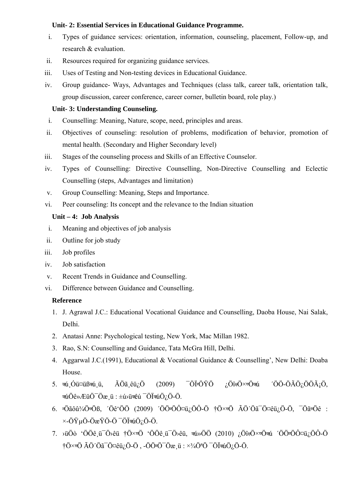#### **Unit- 2: Essential Services in Educational Guidance Programme.**

- i. Types of guidance services: orientation, information, counseling, placement, Follow-up, and research & evaluation.
- ii. Resources required for organizing guidance services.
- iii. Uses of Testing and Non-testing devices in Educational Guidance.
- iv. Group guidance- Ways, Advantages and Techniques (class talk, career talk, orientation talk, group discussion, career conference, career corner, bulletin board, role play.)

#### **Unit- 3: Understanding Counseling.**

- i. Counselling: Meaning, Nature, scope, need, principles and areas.
- ii. Objectives of counseling: resolution of problems, modification of behavior, promotion of mental health. (Secondary and Higher Secondary level)
- iii. Stages of the counseling process and Skills of an Effective Counselor.
- iv. Types of Counselling: Directive Counselling, Non-Directive Counselling and Eclectic Counselling (steps, Advantages and limitation)
- v. Group Counselling: Meaning, Steps and Importance.
- vi. Peer counseling: Its concept and the relevance to the Indian situation

### **Unit – 4: Job Analysis**

- i. Meaning and objectives of job analysis
- ii. Outline for job study
- iii. Job profiles
- iv. Job satisfaction
- v. Recent Trends in Guidance and Counselling.
- vi. Difference between Guidance and Counselling.

#### **Reference**

- 1. J. Agrawal J.C.: Educational Vocational Guidance and Counselling, Daoba House, Nai Salak, Delhi.
- 2. Anatasi Anne: Psychological testing, New York, Mac Millan 1982.
- 3. Rao, S.N: Counselling and Guidance, Tata McGra Hill, Delhi.
- 4. Aggarwal J.C.(1991), Educational & Vocational Guidance & Counselling', New Delhi: Doaba House.
- 5.  $\vec{u}$ , Óü¤üß $\vec{u}$ , Ü,  $\vec{A}$ Öã, êü $\zeta$ Ö (2009)  $\vec{O}$ ÖİrÖŸÖ  $\zeta$ ÖîkÖ× $\vec{v}$ Ö $\vec{v}$ u ´ÖÖ-Ö $\tilde{A}$ Ö $\zeta$ ÖÖ $\tilde{A}$ iÖ,  $\pi$ úÖê»ÆüÖ $\bar{O}$ öæ $\mu$ :  $\pm$ ú $\nu$ ü $\pi$ êú  $\bar{O}$ Ü $\pi$ úÖ $\mu$ Ö-Ö.
- 6.  $\vec{v}$ Öãôû¾Ö $\vec{v}$ Öß, ´Öê'ÖÖ (2009) ´ÖÖ $\vec{v}$ Ö $\vec{v}$ Ö $\hat{O}$ ¤ü¿ÖÔ-Ö  $\vec{v}$ Ö× $\vec{v}$ Ö ÃÖ´Öã $\vec{v}$ Ö¤êü¿Ö-Ö,  $\vec{v}$ Õã $\vec{v}$ Öê :  $\times$ -ÖŸµÖ-ÖæŸÖ-Ö $^-$ Öľ $\pi$ úÖ<sub>i</sub>Ö-Ö.
- 7. ݟÖò 'ÖÖê ü $\overline{O}$ >êü †Ö $\times$ vÖ 'ÖÖê ü $\overline{O}$ >êü, ब $y$ ÖÖ (2010) ¿ÖîgÖ $\times$ vÖa $y$  'ÖÖ $\overline{O}$ Ò¤ü¿ÖÔ-Ö  $\dagger$ Ö $\times$ vÖ ÃÖ´Öã $\ddot{o}$ Ö¤êü<sub>l</sub>Ö-Ö , -ÖÖ $\ddot{o}$ Ö $\ddot{o}$ zü :  $\times\frac{3}{4}$ Ö $\ddot{o}$ <sup>3</sup>Ö  $\ddot{o}$ Öl¤úÖ<sub>l</sub>Ö-Ö.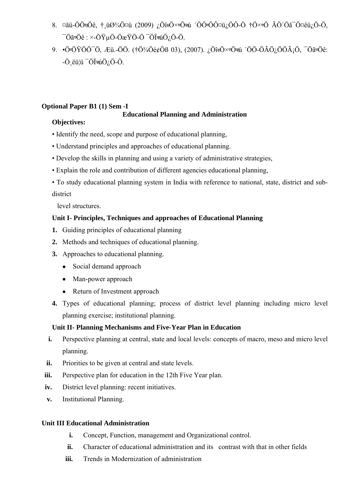- 8.  $\varphi$ ãü-ÖÖ $\vec{v}$ Ö $\vec{v}$ , † ü $\vartheta$ ¼Ö $\varphi$ ü (2009) ¿Öî $\vec{v}$ Ö $\varphi$ vö $\vec{v}$  (Ö $\varphi$ ö $\varphi$ ü/Ö $\hat{O}$ -Ö $\varphi$ )  $\vec{v}$  (Ö $\varphi$ )  $\vec{v}$  (Ö $\varphi$ )  $\vec{v}$  (Ö $\varphi$ )  $\vec{v}$  (Ö $\varphi$ )  $\vec{v}$  $\overline{O}$ ã $\overline{O}$ ê :  $\times$ -ÖŸuÖ-Ö $\overline{O}$ æŸÖ-Ö $\overline{O}$ , Ö $\overline{O}$ i $\overline{a}$ úÖ $\overline{O}$ , Ö-Ö.
- 9. •ÖÖŸÖÖ¯Ö, Æü.-ÖÖ. (†Ö¾Öé¢Öß 03), (2007). ¿ÖîÖ×Öú ´ÖÖ-ÖÃÖ¿ÖÖáÖ, ¯ÖãÖê:  $-$ Ö $e$ ü¦ü  $-$ Ö $I$  $\pi$ úÖ $i$ Ö $-$ Ö.

# **Optional Paper B1 (1) Sem -I**

# **Educational Planning and Administration**

# **Objectives:**

- Identify the need, scope and purpose of educational planning,
- Understand principles and approaches of educational planning.
- Develop the skills in planning and using a variety of administrative strategies,
- Explain the role and contribution of different agencies educational planning,
- To study educational planning system in India with reference to national, state, district and subdistrict

level structures.

# **Unit I- Principles, Techniques and approaches of Educational Planning**

- **1.** Guiding principles of educational planning
- **2.** Methods and techniques of educational planning.
- **3.** Approaches to educational planning.
	- Social demand approach
	- Man-power approach
	- Return of Investment approach
- **4.** Types of educational planning; process of district level planning including micro level planning exercise; institutional planning.

# **Unit II- Planning Mechanisms and Five-Year Plan in Education**

- **i.** Perspective planning at central, state and local levels: concepts of macro, meso and micro level planning.
- **ii.** Priorities to be given at central and state levels.
- **iii.** Perspective plan for education in the 12th Five Year plan.
- **iv.** District level planning: recent initiatives.
- **v.** Institutional Planning.

# **Unit III Educational Administration**

- **i.** Concept, Function, management and Organizational control.
- **ii.** Character of educational administration and its contrast with that in other fields
- **iii.** Trends in Modernization of administration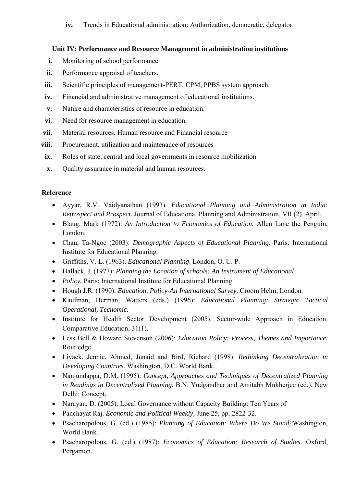**iv.** Trends in Educational administration: Authorization, democratic, delegator.

### **Unit IV: Performance and Resource Management in administration institutions**

- **i.** Monitoring of school performance.
- **ii.** Performance appraisal of teachers.
- **iii.** Scientific principles of management-PERT, CPM, PPBS system approach.
- **iv.** Financial and administrative management of educational institutions.
- **v.** Nature and characteristics of resource in education.
- **vi.** Need for resource management in education.
- vii. Material resources, Human resource and Financial resource
- **viii.** Procurement, utilization and maintenance of resources
- **ix.** Roles of state, central and local governments in resource mobilization
- **x.** Quality assurance in material and human resources.

# **Reference**

- Ayyar, R.V. Vaidyanathan (1993). *Educational Planning and Administration in India: Retrospect and Prospect*. Journal of Educational Planning and Administration. VII (2). April.
- Blaug, Mark (1972): *An Introduction to Economics of Education.* Allen Lane the Penguin, London.
- Chau, Ta-Ngoc (2003): *Demographic Aspects of Educational Planning.* Paris: International Institute for Educational Planning.
- Griffiths, V. L. (1963). *Educational Planning*. London, O. U. P.
- Hallack, J. (1977): *Planning the Location of schools: An Instrument of Educational*
- *Policy*. Paris: International Institute for Educational Planning.
- Hough J.R. (1990): *Education, Policy-An International Survey.* Croom Helm, London.
- Kaufman, Herman, Watters (eds.) (1996): *Educational Planning: Strategic Tactical Operational, Tecnomic.*
- Institute for Health Sector Development (2005): Sector-wide Approach in Education. Comparative Education, 31(1).
- Less Bell & Howard Stevenson (2006): *Education Policy: Process, Themes and Importance.*  Routledge.
- Livack, Jennie, Ahmed, Junaid and Bird, Richard (1998): *Rethinking Decentralization in Developing Countries.* Washington, D.C. World Bank.
- Nanjundappa, D.M. (1995): *Concept, Approaches and Techniques of Decentralized Planning in Readings in Decentralized Planning.* B.N. Yudgandhar and Amitabh Mukherjee (ed.). New Delhi: Concept.
- Narayan, D. (2005): Local Governance without Capacity Building: Ten Years of
- Panchayat Raj. *Economic and Political Weekly,* June 25, pp. 2822-32.
- Psacharopolous, G. (ed.) (1985): *Planning of Education: Where Do We Stand?*Washington, World Bank.
- Psacharopolous, G. (ed.) (1987): *Economics of Education: Research of Studies.* Oxford, Pergamon.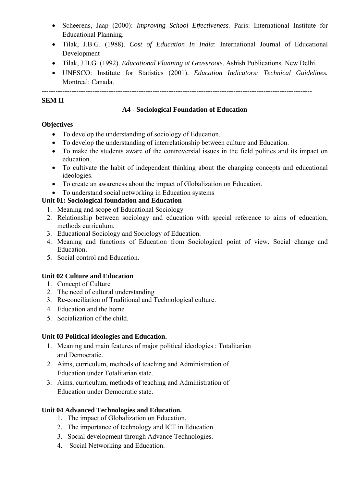- Scheerens, Jaap (2000): *Improving School Effectiveness.* Paris: International Institute for Educational Planning.
- Tilak, J.B.G. (1988). *Cost of Education In India*: International Journal of Educational Development
- Tilak, J.B.G. (1992). *Educational Planning at Grassroots*. Ashish Publications. New Delhi.
- UNESCO: Institute for Statistics (2001). *Education Indicators: Technical Guidelines.*  Montreal: Canada.

# **SEM II**

# **A4 - Sociological Foundation of Education**

---------------------------------------------------------------------------------------------------------------------

# **Objectives**

- To develop the understanding of sociology of Education.
- To develop the understanding of interrelationship between culture and Education.
- To make the students aware of the controversial issues in the field politics and its impact on education.
- To cultivate the habit of independent thinking about the changing concepts and educational ideologies.
- To create an awareness about the impact of Globalization on Education.
- To understand social networking in Education systems

# **Unit 01: Sociological foundation and Education**

- 1. Meaning and scope of Educational Sociology
- 2. Relationship between sociology and education with special reference to aims of education, methods curriculum.
- 3. Educational Sociology and Sociology of Education.
- 4. Meaning and functions of Education from Sociological point of view. Social change and Education.
- 5. Social control and Education.

# **Unit 02 Culture and Education**

- 1. Concept of Culture
- 2. The need of cultural understanding
- 3. Re-conciliation of Traditional and Technological culture.
- 4. Education and the home
- 5. Socialization of the child.

# **Unit 03 Political ideologies and Education.**

- 1. Meaning and main features of major political ideologies : Totalitarian and Democratic.
- 2. Aims, curriculum, methods of teaching and Administration of Education under Totalitarian state.
- 3. Aims, curriculum, methods of teaching and Administration of Education under Democratic state.

# **Unit 04 Advanced Technologies and Education.**

- 1. The impact of Globalization on Education.
- 2. The importance of technology and ICT in Education.
- 3. Social development through Advance Technologies.
- 4. Social Networking and Education.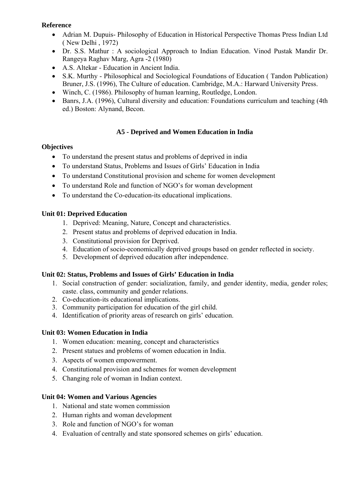- Adrian M. Dupuis- Philosophy of Education in Historical Perspective Thomas Press Indian Ltd ( New Delhi , 1972)
- Dr. S.S. Mathur : A sociological Approach to Indian Education. Vinod Pustak Mandir Dr. Rangeya Raghav Marg, Agra -2 (1980)
- A.S. Altekar Education in Ancient India.
- S.K. Murthy Philosophical and Sociological Foundations of Education ( Tandon Publication) Bruner, J.S. (1996), The Culture of education. Cambridge, M.A.: Harward University Press.
- Winch, C. (1986). Philosophy of human learning, Routledge, London.
- Banrs, J.A. (1996), Cultural diversity and education: Foundations curriculum and teaching (4th ed.) Boston: Alynand, Becon.

# **A5 - Deprived and Women Education in India**

### **Objectives**

- To understand the present status and problems of deprived in india
- To understand Status, Problems and Issues of Girls' Education in India
- To understand Constitutional provision and scheme for women development
- To understand Role and function of NGO's for woman development
- To understand the Co-education-its educational implications.

### **Unit 01: Deprived Education**

- 1. Deprived: Meaning, Nature, Concept and characteristics.
- 2. Present status and problems of deprived education in India.
- 3. Constitutional provision for Deprived.
- 4. Education of socio-economically deprived groups based on gender reflected in society.
- 5. Development of deprived education after independence.

#### **Unit 02: Status, Problems and Issues of Girls' Education in India**

- 1. Social construction of gender: socialization, family, and gender identity, media, gender roles; caste. class, community and gender relations.
- 2. Co-education-its educational implications.
- 3. Community participation for education of the girl child.
- 4. Identification of priority areas of research on girls' education.

# **Unit 03: Women Education in India**

- 1. Women education: meaning, concept and characteristics
- 2. Present statues and problems of women education in India.
- 3. Aspects of women empowerment.
- 4. Constitutional provision and schemes for women development
- 5. Changing role of woman in Indian context.

#### **Unit 04: Women and Various Agencies**

- 1. National and state women commission
- 2. Human rights and woman development
- 3. Role and function of NGO's for woman
- 4. Evaluation of centrally and state sponsored schemes on girls' education.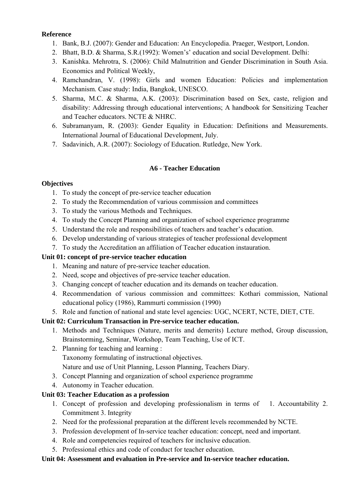- 1. Bank, B.J. (2007): Gender and Education: An Encyclopedia. Praeger, Westport, London.
- 2. Bhatt, B.D. & Sharma, S.R.(1992): Women's' education and social Development. Delhi:
- 3. Kanishka. Mehrotra, S. (2006): Child Malnutrition and Gender Discrimination in South Asia. Economics and Political Weekly,
- 4. Ramchandran, V. (1998): Girls and women Education: Policies and implementation Mechanism. Case study: India, Bangkok, UNESCO.
- 5. Sharma, M.C. & Sharma, A.K. (2003): Discrimination based on Sex, caste, religion and disability: Addressing through educational interventions; A handbook for Sensitizing Teacher and Teacher educators. NCTE & NHRC.
- 6. Subramanyam, R. (2003): Gender Equality in Education: Definitions and Measurements. International Journal of Educational Development, July.
- 7. Sadavinich, A.R. (2007): Sociology of Education. Rutledge, New York.

# **A6 - Teacher Education**

# **Objectives**

- 1. To study the concept of pre-service teacher education
- 2. To study the Recommendation of various commission and committees
- 3. To study the various Methods and Techniques.
- 4. To study the Concept Planning and organization of school experience programme
- 5. Understand the role and responsibilities of teachers and teacher's education.
- 6. Develop understanding of various strategies of teacher professional development
- 7. To study the Accreditation an affiliation of Teacher education instauration.

# **Unit 01: concept of pre-service teacher education**

- 1. Meaning and nature of pre-service teacher education.
- 2. Need, scope and objectives of pre-service teacher education.
- 3. Changing concept of teacher education and its demands on teacher education.
- 4. Recommendation of various commission and committees: Kothari commission, National educational policy (1986), Rammurti commission (1990)
- 5. Role and function of national and state level agencies: UGC, NCERT, NCTE, DIET, CTE.

# **Unit 02: Curriculum Transaction in Pre-service teacher education.**

- 1. Methods and Techniques (Nature, merits and demerits) Lecture method, Group discussion, Brainstorming, Seminar, Workshop, Team Teaching, Use of ICT.
- 2. Planning for teaching and learning : Taxonomy formulating of instructional objectives. Nature and use of Unit Planning, Lesson Planning, Teachers Diary.
- 3. Concept Planning and organization of school experience programme
- 4. Autonomy in Teacher education.

# **Unit 03: Teacher Education as a profession**

- 1. Concept of profession and developing professionalism in terms of 1. Accountability 2. Commitment 3. Integrity
- 2. Need for the professional preparation at the different levels recommended by NCTE.
- 3. Profession development of In-service teacher education: concept, need and important.
- 4. Role and competencies required of teachers for inclusive education.
- 5. Professional ethics and code of conduct for teacher education.

**Unit 04: Assessment and evaluation in Pre-service and In-service teacher education.**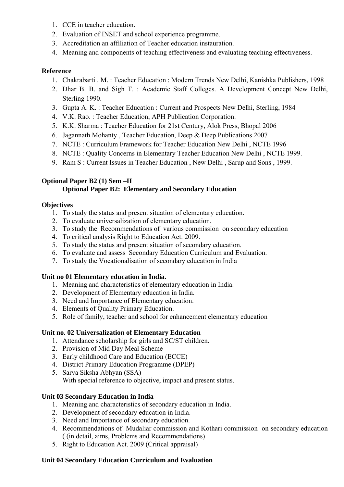- 1. CCE in teacher education.
- 2. Evaluation of INSET and school experience programme.
- 3. Accreditation an affiliation of Teacher education instauration.
- 4. Meaning and components of teaching effectiveness and evaluating teaching effectiveness.

- 1. Chakrabarti . M. : Teacher Education : Modern Trends New Delhi, Kanishka Publishers, 1998
- 2. Dhar B. B. and Sigh T. : Academic Staff Colleges. A Development Concept New Delhi, Sterling 1990.
- 3. Gupta A. K. : Teacher Education : Current and Prospects New Delhi, Sterling, 1984
- 4. V.K. Rao. : Teacher Education, APH Publication Corporation.
- 5. K.K. Sharma : Teacher Education for 21st Century, Alok Press, Bhopal 2006
- 6. Jagannath Mohanty , Teacher Education, Deep & Deep Publications 2007
- 7. NCTE : Curriculum Framework for Teacher Education New Delhi , NCTE 1996
- 8. NCTE : Quality Concerns in Elementary Teacher Education New Delhi , NCTE 1999.
- 9. Ram S : Current Issues in Teacher Education , New Delhi , Sarup and Sons , 1999.

#### **Optional Paper B2 (1) Sem –II Optional Paper B2: Elementary and Secondary Education**

#### **Objectives**

- 1. To study the status and present situation of elementary education.
- 2. To evaluate universalization of elementary education.
- 3. To study the Recommendations of various commission on secondary education
- 4. To critical analysis Right to Education Act. 2009.
- 5. To study the status and present situation of secondary education.
- 6. To evaluate and assess Secondary Education Curriculum and Evaluation.
- 7. To study the Vocationalisation of secondary education in India

# **Unit no 01 Elementary education in India.**

- 1. Meaning and characteristics of elementary education in India.
- 2. Development of Elementary education in India.
- 3. Need and Importance of Elementary education.
- 4. Elements of Quality Primary Education.
- 5. Role of family, teacher and school for enhancement elementary education

# **Unit no. 02 Universalization of Elementary Education**

- 1. Attendance scholarship for girls and SC/ST children.
- 2. Provision of Mid Day Meal Scheme
- 3. Early childhood Care and Education (ECCE)
- 4. District Primary Education Programme (DPEP)
- 5. Sarva Siksha Abhyan (SSA) With special reference to objective, impact and present status.

# **Unit 03 Secondary Education in India**

- 1. Meaning and characteristics of secondary education in India.
- 2. Development of secondary education in India.
- 3. Need and Importance of secondary education.
- 4. Recommendations of Mudaliar commission and Kothari commission on secondary education ( (in detail, aims, Problems and Recommendations)
- 5. Right to Education Act. 2009 (Critical appraisal)

# **Unit 04 Secondary Education Curriculum and Evaluation**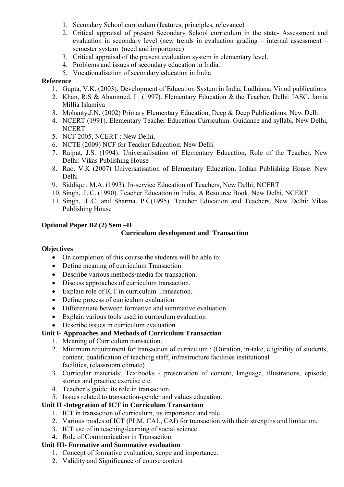- 1. Secondary School curriculum (features, principles, relevance)
- 2. Critical appraisal of present Secondary School curriculum in the state- Assessment and evaluation in secondary level (new trends in evaluation grading – internal assessment – semester system (need and importance)
- 3. Critical appraisal of the present evaluation system in elementary level.
- 4. Problems and issues of secondary education in India.
- 5. Vocationalisation of secondary education in India

- 1. Gupta, V.K. (2003). Development of Education System in India, Ludhiana: Vinod publications
- 2. Khan, R.S & Ahammed. I . (1997). Elementary Education & the Teacher, Delhi: IASC, Jamia Millia Islamiya
- 3. Mohanty.J.N, (2002) Primary Elementary Education, Deep & Deep Publications: New Delhi
- 4. NCERT (1991). Elementary Teacher Education Curriculum. Guidance and syllabi, New Delhi, **NCERT**
- 5. NCF 2005, NCERT : New Delhi,
- 6. NCTE (2009) NCF for Teacher Education: New Delhi
- 7. Rajput, J.S. (1994). Universalisation of Elementary Education, Role of the Teacher, New Delhi: Vikas Publishing House
- 8. Rao. V.K (2007) Universatisation of Elementary Education, Indian Publishing House: New Delhi
- 9. Siddiqui. M.A. (1993). In-service Education of Teachers, New Delhi, NCERT
- 10. Singh, .L.C. (1990). Teacher Education in India, A Resource Book, New Delhi, NCERT
- 11. Singh, .L.C. and Sharma. P.C(1995). Teacher Education and Teachers, New Delhi: Vikas Publishing House

### **Optional Paper B2 (2) Sem –II**

#### **Curriculum development and Transaction**

#### **Objectives**

- On completion of this course the students will be able to:
- Define meaning of curriculum Transaction.
- Describe various methods/media for transaction.
- Discuss approaches of curriculum transaction.
- Explain role of ICT in curriculum Transaction. .
- Define process of curriculum evaluation
- Differentiate between formative and summative evaluation
- Explain various tools used in curriculum evaluation
- Describe issues in curriculum evaluation

#### **Unit I- Approaches and Methods of Curriculum Transaction**

- 1. Meaning of Curriculum transaction.
- 2. Minimum requirement for transaction of curriculum : (Duration, in-take, eligibility of students, content, qualification of teaching staff, infrastructure facilities institutional facilities, (classroom climate)
- 3. Curricular materials: Textbooks presentation of content, language, illustrations, episode, stories and practice exercise etc.
- 4. Teacher's guide: its role in transaction.
- 5. Issues related to transaction-gender and values education.

# **Unit II -Integration of ICT in Curriculum Transaction**

- 1. ICT in transaction of curriculum, its importance and role
- 2. Various modes of ICT (PLM, CAL, CAI) for transaction with their strengths and limitation.
- 3. ICT use of in teaching-learning of social science
- 4. Role of Communication in Transaction

#### **Unit III- Formative and Summative evaluation**

- 1. Concept of formative evaluation, scope and importance.
- 2. Validity and Significance of course content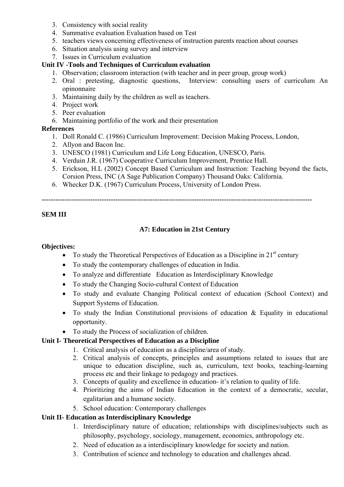- 3. Consistency with social reality
- 4. Summative evaluation Evaluation based on Test
- 5. teachers views concerning effectiveness of instruction parents reaction about courses
- 6. Situation analysis using survey and interview
- 7. Issues in Curriculum evaluation

### **Unit IV -Tools and Techniques of Curriculum evaluation**

- 1. Observation; classroom interaction (with teacher and in peer group, group work)
- 2. Oral : pretesting, diagnostic questions, Interview: consulting users of curriculum An opinonnaire
- 3. Maintaining daily by the children as well as teachers.
- 4. Project work
- 5. Peer evaluation
- 6. Maintaining portfolio of the work and their presentation

### **References**

- 1. Doll Ronald C. (1986) Curriculum Improvement: Decision Making Process, London,
- 2. Allyon and Bacon Inc.
- 3. UNESCO (1981) Curriculum and Life Long Education, UNESCO, Paris.
- 4. Verduin J.R. (1967) Cooperative Curriculum Improvement, Prentice Hall.
- 5. Erickson, H.L (2002) Concept Based Curriculum and Instruction: Teaching beyond the facts, Corsion Press, INC (A Sage Publication Company) Thousand Oaks: California.
- 6. Whecker D.K. (1967) Curriculum Process, University of London Press.

**---------------------------------------------------------------------------------------------------------------------** 

### **SEM III**

# **A7: Education in 21st Century**

#### **Objectives:**

- To study the Theoretical Perspectives of Education as a Discipline in  $21<sup>st</sup>$  century
- To study the contemporary challenges of education in India.
- To analyze and differentiate Education as Interdisciplinary Knowledge
- To study the Changing Socio-cultural Context of Education
- To study and evaluate Changing Political context of education (School Context) and Support Systems of Education.
- To study the Indian Constitutional provisions of education & Equality in educational opportunity.
- To study the Process of socialization of children.

#### **Unit I- Theoretical Perspectives of Education as a Discipline**

- 1. Critical analysis of education as a discipline/area of study.
- 2. Critical analysis of concepts, principles and assumptions related to issues that are unique to education discipline, such as, curriculum, text books, teaching-learning process etc and their linkage to pedagogy and practices.
- 3. Concepts of quality and excellence in education- it's relation to quality of life.
- 4. Prioritizing the aims of Indian Education in the context of a democratic, secular, egalitarian and a humane society.
- 5. School education: Contemporary challenges

# **Unit II- Education as Interdisciplinary Knowledge**

- 1. Interdisciplinary nature of education; relationships with disciplines/subjects such as philosophy, psychology, sociology, management, economics, anthropology etc.
- 2. Need of education as a interdisciplinary knowledge for society and nation.
- 3. Contribution of science and technology to education and challenges ahead.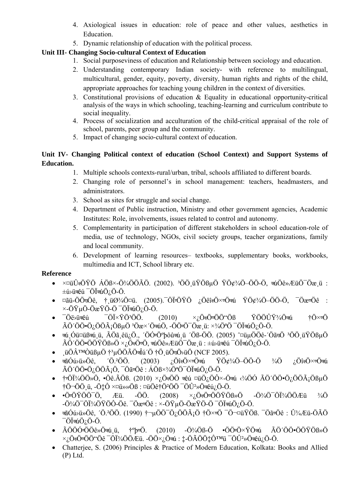- 4. Axiological issues in education: role of peace and other values, aesthetics in Education.
- 5. Dynamic relationship of education with the political process.

# **Unit III- Changing Socio-cultural Context of Education**

- 1. Social purposeviness of education and Relationship between sociology and education.
- 2. Understanding contemporary Indian society- with reference to multilingual, multicultural, gender, equity, poverty, diversity, human rights and rights of the child, appropriate approaches for teaching young children in the context of diversities.
- 3. Constitutional provisions of education & Equality in educational opportunity-critical analysis of the ways in which schooling, teaching-learning and curriculum contribute to social inequality.
- 4. Process of socialization and acculturation of the child-critical appraisal of the role of school, parents, peer group and the community.
- 5. Impact of changing socio-cultural context of education.

# **Unit IV- Changing Political context of education (School Context) and Support Systems of Education.**

- 1. Multiple schools contexts-rural/urban, tribal, schools affiliated to different boards.
- 2. Changing role of personnel's in school management: teachers, headmasters, and administrators.
- 3. School as sites for struggle and social change.
- 4. Department of Public instruction, Ministry and other government agencies, Academic Institutes: Role, involvements, issues related to control and autonomy.
- 5. Complementarity in participation of different stakeholders in school education-role of media, use of technology, NGOs, civil society groups, teacher organizations, family and local community.
- 6. Development of learning resources– textbooks, supplementary books, workbooks, multimedia and ICT, School library etc.

# **Reference**

- $\times$  $\alpha$ üÛ $\alpha$ ÖŸÖ ÁÖ $\beta \times$ -Ö¼ÖÖÃÖ. (2002). <sup>3</sup>ÖÖ üŸÖ $\beta$ uÖ ŸÖ¢¾Ö–ÖÖ-Ö,  $\alpha$ úÖê»ÆüÖ $\bar{O}$ æ ü :  $\pm$ ú>üक $\hat{e}$ ú $\overline{\phantom{a}}$ Ö $\overline{\phantom{a}}$ aúÖ $\overline{\phantom{a}}$ Ö-Ö.
- ¤ãü-ÖÖ $\vec{a}$ Ö $\vec{c}$ , † $\vec{u}$ ؾÖ¤ü. (2005). $\vec{v}$ Öi $\vec{v}$ ÖŸÖ ¿Öêî $\vec{v}$ Ö $\times$ vÖ $\vec{v}$ u ŸÖ $\ell^3$ 4Ö–ÖÖ-Ö,  $\vec{v}$ ævÖê :  $\times$ -ÖŸµÖ-ÖæŸÖ-Ö  $\overline{O}$ Ü $\pi$ úÖ<sub>i</sub>Ö-Ö.
- ¯Öë›üêú ¯ÖÏןֳÖÖ. (2010) ׿ÖÖÖÖ"Öß ŸÖÖÛŸ¾Öú †Ö×Ö  $\tilde{A}$ Ö'ÖÖ•Ö<sub>i</sub>ÖÖ $\tilde{A}$ iÖßµÖ  ${}^{3}$ Öæ×´Ö $\tilde{u}$ Ö, -ÖÖ $\tilde{v}$ Öæ ü: ×¾Ö ${}^{3}$ Ö  ${}^{-}$ ÖÏ $\tilde{u}$ ü) iÖ-Ö.
- τμ Óü¤üßτú ü, ÃÖã êü¿Ö., <sup>'</sup>ÖÓ<sup>r</sup>Ö°þôûτú ü 'Öß-ÖÖ. (2005) ^¤üμÖÖê-'Öã dö 3ÖÖ üŸÖßμÖ  $\tilde{A}$ Ö'ÖÖ•ÖÖŸÖᯙ ׿Ö $\tilde{v}$ Ö,  $\tilde{w}$ Öê»ÆüÖ $\tilde{O}$ Öæ ü : ±ú›ü $\tilde{w}$ ú  $\tilde{w}$ Öl $\tilde{w}$ Ó<sub>i</sub> Ö-Ö.
- ¸üÖ™ÒüßµÖ †³µÖÖÃÖÎú´Ö †Ö¸üÖÖ›üÖ (NCF 2005).
- $\vec{a}$ Óú›ü»Öê, ´Ö.<sup>2</sup>ÖÖ. (2003) ¿Öî $\vec{a}$ Ö× $\vec{v}$ Ö $\vec{a}$ i ŸÖ $\vec{a}$ <sup>3</sup>/4Ö–ÖÖ-Ö  $\vec{a}$ ) ¿Öî $\vec{a}$ Ö× $\vec{v}$ Ö $\vec{a}$ i  $\tilde{A} \tilde{O}' \tilde{O} \tilde{O} \cdot \tilde{O}_k \tilde{O} \tilde{O} \tilde{A}_i \tilde{O}, \tilde{O} \tilde{O} \tilde{a} \tilde{v} \tilde{O} \hat{e} : \tilde{A} \tilde{O} \tilde{B} \times \tilde{A} \tilde{O} \tilde{a} \tilde{O} \tilde{O} \tilde{O} \tilde{a} \tilde{u} \tilde{O}_k \tilde{O} \cdot \tilde{O}.$
- † $\ddot{\phi}$ i<sup>3</sup>/4ÖÖ»Ö, •Öê. $\ddot{A}$ Öß. (2010)  $\times$ ¿Ö $\ddot{\phi}$ Ö  $\ddot{\phi}$ ü ¤üÖ¿ÖÔ $\times$ -Ö $\ddot{a}$ u ‹ $\frac{3}{4}$ ÖÓ  $\ddot{A}$ Ö'ÖÖ•Ö¿ÖÖ $\ddot{A}$ iÖßµÖ †Ö¬ÖÖ¸ü, -Ö‡Ô ×¤ü»»Öß : ¤üÖê†Ö²ÖÖ ¯ÖÛ²»Öêú¿Ö-Ö.
- •Ö $\vec{v}$ ÖŸÖÖ $\vec{O}$   $\vec{E}$ ü. -ÖÖ. (2008)  $\times$ ;Ö $\omega$ ÜöÜ $\vec{v}$ ÖÖŸÖᯙ -Ö¾Ö $\vec{O}$ ÖϼÖÕÆü ¼Ö  $- \ddot{O}$ <sup>2</sup> $\dot{A}$ Ö $\ddot{O}$ Ö $\ddot{I}$ <sup>2</sup> $\ddot{O}$ -Öê.  $-\ddot{O}$ æ $\ddot{B}$  $\ddot{O}$   $\ddot{B}$   $\ddot{O}$   $\ddot{O}$   $\ddot{O}$   $\ddot{O}$   $\ddot{O}$   $\ddot{O}$   $\ddot{O}$   $\ddot{O}$   $\ddot{O}$   $\ddot{O}$   $\ddot{O}$   $\ddot{O}$   $\ddot{O}$   $\ddot{O}$   $\ddot{O}$
- $\vec{a}$ Óú›ü»Öê, ´Ö.<sup>2</sup>ÖÖ. (1990) † $\mu$ ÖÖ $\vec{O}$ Ö,ÖÖ $\tilde{A}$ iÖ †Ö $\times$ vÖ  $\vec{O}$  $\pi$ ¤üŸÖß.  $\vec{O}$ ãvÖê : Û¼Æü-Ö $\tilde{A}$ Ö  $\overline{O}$ Ü $\pi$ úÖ<sub>i</sub>Ö-Ö.
- ÃÖÖÓrÖÖê»Öब $\acute{u}$  ü, † $^{\circ}$ þ $\overline{v}$ Ö, (2010) -Ö¾Öß-Ö •ÖÖ $\overline{v}$ Ö $\times$ ŸÖ $\overline{u}$  ÃÖ´ÖÖ•ÖÖŸÖß»Ö  $\times$  Ö&ÖvÖÖ"Öê  $\overline{O}$ Ü<sup>3</sup>⁄4ÖÖÆü. -ÖÖ $\times$  Ö $\overline{O}$ kü :  $\ddagger$ -ÖÃÖÖ $\ddagger$ 犯 $\overline{O}$ Û<sup>2</sup>»Öæú<sub>l</sub> Ö-Ö.
- Chatterjee, S. (2006) Principles & Practice of Modern Education, Kolkata: Books and Allied (P) Ltd.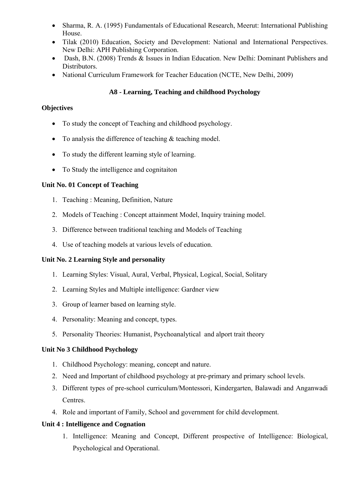- Sharma, R. A. (1995) Fundamentals of Educational Research, Meerut: International Publishing House.
- Tilak (2010) Education, Society and Development: National and International Perspectives. New Delhi: APH Publishing Corporation.
- Dash, B.N. (2008) Trends & Issues in Indian Education. New Delhi: Dominant Publishers and Distributors.
- National Curriculum Framework for Teacher Education (NCTE, New Delhi, 2009)

# **A8 - Learning, Teaching and childhood Psychology**

# **Objectives**

- To study the concept of Teaching and childhood psychology.
- To analysis the difference of teaching  $&$  teaching model.
- To study the different learning style of learning.
- To Study the intelligence and cognitaiton

# **Unit No. 01 Concept of Teaching**

- 1. Teaching : Meaning, Definition, Nature
- 2. Models of Teaching : Concept attainment Model, Inquiry training model.
- 3. Difference between traditional teaching and Models of Teaching
- 4. Use of teaching models at various levels of education.

# **Unit No. 2 Learning Style and personality**

- 1. Learning Styles: Visual, Aural, Verbal, Physical, Logical, Social, Solitary
- 2. Learning Styles and Multiple intelligence: Gardner view
- 3. Group of learner based on learning style.
- 4. Personality: Meaning and concept, types.
- 5. Personality Theories: Humanist, Psychoanalytical and alport trait theory

# **Unit No 3 Childhood Psychology**

- 1. Childhood Psychology: meaning, concept and nature.
- 2. Need and Important of childhood psychology at pre-primary and primary school levels.
- 3. Different types of pre-school curriculum/Montessori, Kindergarten, Balawadi and Anganwadi Centres.
- 4. Role and important of Family, School and government for child development.

# **Unit 4 : Intelligence and Cognation**

1. Intelligence: Meaning and Concept, Different prospective of Intelligence: Biological, Psychological and Operational.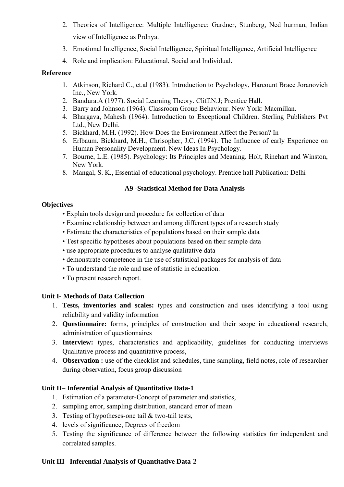- 2. Theories of Intelligence: Multiple Intelligence: Gardner, Stunberg, Ned hurman, Indian view of Intelligence as Prdnya.
- 3. Emotional Intelligence, Social Intelligence, Spiritual Intelligence, Artificial Intelligence
- 4. Role and implication: Educational, Social and Individual**.**

- 1. Atkinson, Richard C., et.al (1983). Introduction to Psychology, Harcount Brace Joranovich Inc., New York.
- 2. Bandura.A (1977). Social Learning Theory. Cliff.N.J; Prentice Hall.
- 3. Barry and Johnson (1964). Classroom Group Behaviour. New York: Macmillan.
- 4. Bhargava, Mahesh (1964). Introduction to Exceptional Children. Sterling Publishers Pvt Ltd., New Delhi.
- 5. Bickhard, M.H. (1992). How Does the Environment Affect the Person? In
- 6. Erlbaum. Bickhard, M.H., Chrisopher, J.C. (1994). The Influence of early Experience on Human Personality Development. New Ideas In Psychology.
- 7. Bourne, L.E. (1985). Psychology: Its Principles and Meaning. Holt, Rinehart and Winston, New York.
- 8. Mangal, S. K., Essential of educational psychology. Prentice hall Publication: Delhi

### **A9 -Statistical Method for Data Analysis**

#### **Objectives**

- Explain tools design and procedure for collection of data
- Examine relationship between and among different types of a research study
- Estimate the characteristics of populations based on their sample data
- Test specific hypotheses about populations based on their sample data
- use appropriate procedures to analyse qualitative data
- demonstrate competence in the use of statistical packages for analysis of data
- To understand the role and use of statistic in education.
- To present research report.

#### **Unit I- Methods of Data Collection**

- 1. **Tests, inventories and scales:** types and construction and uses identifying a tool using reliability and validity information
- 2. **Questionnaire:** forms, principles of construction and their scope in educational research, administration of questionnaires
- 3. **Interview:** types, characteristics and applicability, guidelines for conducting interviews Qualitative process and quantitative process,
- 4. **Observation :** use of the checklist and schedules, time sampling, field notes, role of researcher during observation, focus group discussion

# **Unit II– Inferential Analysis of Quantitative Data-1**

- 1. Estimation of a parameter-Concept of parameter and statistics,
- 2. sampling error, sampling distribution, standard error of mean
- 3. Testing of hypotheses-one tail & two-tail tests,
- 4. levels of significance, Degrees of freedom
- 5. Testing the significance of difference between the following statistics for independent and correlated samples.

#### **Unit III– Inferential Analysis of Quantitative Data-2**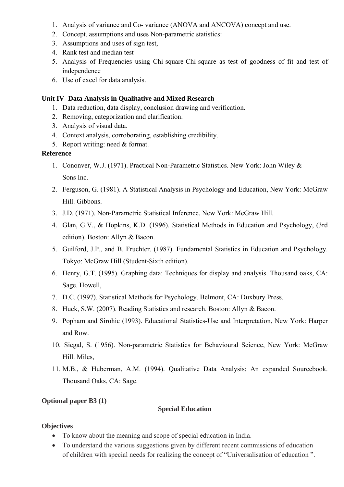- 1. Analysis of variance and Co- variance (ANOVA and ANCOVA) concept and use.
- 2. Concept, assumptions and uses Non-parametric statistics:
- 3. Assumptions and uses of sign test,
- 4. Rank test and median test
- 5. Analysis of Frequencies using Chi-square-Chi-square as test of goodness of fit and test of independence
- 6. Use of excel for data analysis.

#### **Unit IV- Data Analysis in Qualitative and Mixed Research**

- 1. Data reduction, data display, conclusion drawing and verification.
- 2. Removing, categorization and clarification.
- 3. Analysis of visual data.
- 4. Context analysis, corroborating, establishing credibility.
- 5. Report writing: need & format.

#### **Reference**

- 1. Cononver, W.J. (1971). Practical Non-Parametric Statistics. New York: John Wiley & Sons Inc.
- 2. Ferguson, G. (1981). A Statistical Analysis in Psychology and Education, New York: McGraw Hill. Gibbons.
- 3. J.D. (1971). Non-Parametric Statistical Inference. New York: McGraw Hill.
- 4. Glan, G.V., & Hopkins, K.D. (1996). Statistical Methods in Education and Psychology, (3rd edition). Boston: Allyn & Bacon.
- 5. Guilford, J.P., and B. Fruchter. (1987). Fundamental Statistics in Education and Psychology. Tokyo: McGraw Hill (Student-Sixth edition).
- 6. Henry, G.T. (1995). Graphing data: Techniques for display and analysis. Thousand oaks, CA: Sage. Howell,
- 7. D.C. (1997). Statistical Methods for Psychology. Belmont, CA: Duxbury Press.
- 8. Huck, S.W. (2007). Reading Statistics and research. Boston: Allyn & Bacon.
- 9. Popham and Sirohic (1993). Educational Statistics-Use and Interpretation, New York: Harper and Row.
- 10. Siegal, S. (1956). Non-parametric Statistics for Behavioural Science, New York: McGraw Hill. Miles,
- 11. M.B., & Huberman, A.M. (1994). Qualitative Data Analysis: An expanded Sourcebook. Thousand Oaks, CA: Sage.

#### **Optional paper B3 (1)**

#### **Special Education**

#### **Objectives**

- To know about the meaning and scope of special education in India.
- To understand the various suggestions given by different recent commissions of education of children with special needs for realizing the concept of "Universalisation of education ".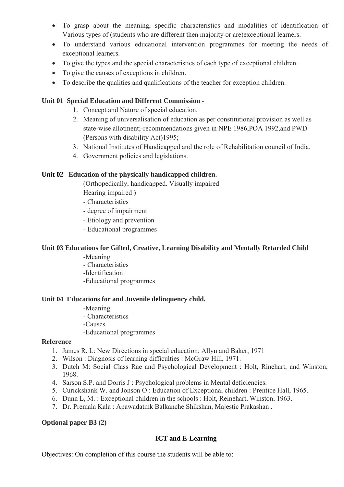- To grasp about the meaning, specific characteristics and modalities of identification of Various types of (students who are different then majority or are)exceptional learners.
- To understand various educational intervention programmes for meeting the needs of exceptional learners.
- To give the types and the special characteristics of each type of exceptional children.
- To give the causes of exceptions in children.
- To describe the qualities and qualifications of the teacher for exception children.

### **Unit 01 Special Education and Different Commission -**

- 1. Concept and Nature of special education.
- 2. Meaning of universalisation of education as per constitutional provision as well as state-wise allotment;-recommendations given in NPE 1986,POA 1992,and PWD (Persons with disability Act)1995;
- 3. National Institutes of Handicapped and the role of Rehabilitation council of India.
- 4. Government policies and legislations.

#### **Unit 02 Education of the physically handicapped children.**

(Orthopedically, handicapped. Visually impaired Hearing impaired )

- Characteristics
- degree of impairment
- Etiology and prevention
- Educational programmes

#### **Unit 03 Educations for Gifted, Creative, Learning Disability and Mentally Retarded Child**

- -Meaning
- Characteristics
- -Identification
- -Educational programmes

#### **Unit 04 Educations for and Juvenile delinquency child.**

- -Meaning
- Characteristics
- -Causes
- -Educational programmes

#### **Reference**

- 1. James R. L: New Directions in special education: Allyn and Baker, 1971
- 2. Wilson : Diagnosis of learning difficulties : McGraw Hill, 1971.
- 3. Dutch M: Social Class Rae and Psychological Development : Holt, Rinehart, and Winston, 1968.
- 4. Sarson S.P. and Dorris J : Psychological problems in Mental deficiencies.
- 5. Curickshank W. and Jonson O : Education of Exceptional children : Prentice Hall, 1965.
- 6. Dunn L, M. : Exceptional children in the schools : Holt, Reinehart, Winston, 1963.
- 7. Dr. Premala Kala : Apawadatmk Balkanche Shikshan, Majestic Prakashan .

#### **Optional paper B3 (2)**

# **ICT and E-Learning**

Objectives: On completion of this course the students will be able to: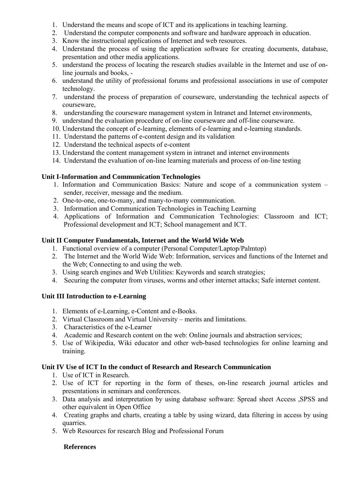- 1. Understand the means and scope of ICT and its applications in teaching learning.
- 2. Understand the computer components and software and hardware approach in education.
- 3. Know the instructional applications of Internet and web resources.
- 4. Understand the process of using the application software for creating documents, database, presentation and other media applications.
- 5. understand the process of locating the research studies available in the Internet and use of online journals and books, -
- 6. understand the utility of professional forums and professional associations in use of computer technology.
- 7. understand the process of preparation of courseware, understanding the technical aspects of courseware,
- 8. understanding the courseware management system in Intranet and Internet environments,
- 9. understand the evaluation procedure of on-line courseware and off-line courseware.
- 10. Understand the concept of e-learning, elements of e-learning and e-learning standards.
- 11. Understand the patterns of e-content design and its validation
- 12. Understand the technical aspects of e-content
- 13. Understand the content management system in intranet and internet environments
- 14. Understand the evaluation of on-line learning materials and process of on-line testing

# **Unit I-Information and Communication Technologies**

- 1. Information and Communication Basics: Nature and scope of a communication system sender, receiver, message and the medium.
- 2. One-to-one, one-to-many, and many-to-many communication.
- 3. Information and Communication Technologies in Teaching Learning
- 4. Applications of Information and Communication Technologies: Classroom and ICT; Professional development and ICT; School management and ICT.

# **Unit II Computer Fundamentals, Internet and the World Wide Web**

- 1. Functional overview of a computer (Personal Computer/Laptop/Palmtop)
- 2. The Internet and the World Wide Web: Information, services and functions of the Internet and the Web; Connecting to and using the web.
- 3. Using search engines and Web Utilities: Keywords and search strategies;
- 4. Securing the computer from viruses, worms and other internet attacks; Safe internet content.

# **Unit III Introduction to e-Learning**

- 1. Elements of e-Learning, e-Content and e-Books.
- 2. Virtual Classroom and Virtual University merits and limitations.
- 3. Characteristics of the e-Learner
- 4. Academic and Research content on the web: Online journals and abstraction services;
- 5. Use of Wikipedia, Wiki educator and other web-based technologies for online learning and training.

# **Unit IV Use of ICT In the conduct of Research and Research Communication**

- 1. Use of ICT in Research.
- 2. Use of ICT for reporting in the form of theses, on-line research journal articles and presentations in seminars and conferences.
- 3. Data analysis and interpretation by using database software: Spread sheet Access ,SPSS and other equivalent in Open Office
- 4. Creating graphs and charts, creating a table by using wizard, data filtering in access by using quarries.
- 5. Web Resources for research Blog and Professional Forum

# **References**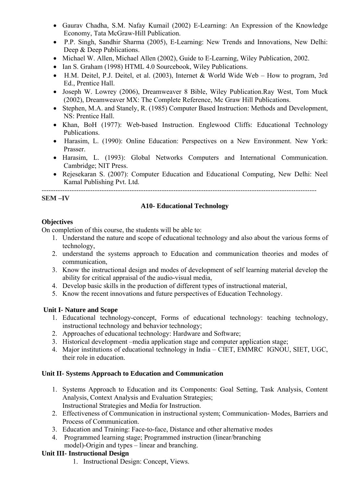- Gaurav Chadha, S.M. Nafay Kumail (2002) E-Learning: An Expression of the Knowledge Economy, Tata McGraw-Hill Publication.
- P.P. Singh, Sandhir Sharma (2005), E-Learning: New Trends and Innovations, New Delhi: Deep & Deep Publications.
- Michael W. Allen, Michael Allen (2002), Guide to E-Learning, Wiley Publication, 2002.
- Ian S. Graham (1998) HTML 4.0 Sourcebook, Wiley Publications.
- H.M. Deitel, P.J. Deitel, et al. (2003), Internet & World Wide Web How to program, 3rd Ed., Prentice Hall.
- Joseph W. Lowrey (2006), Dreamweaver 8 Bible, Wiley Publication.Ray West, Tom Muck (2002), Dreamweaver MX: The Complete Reference, Mc Graw Hill Publications.
- Stephen, M.A. and Stanely, R. (1985) Computer Based Instruction: Methods and Development, NS: Prentice Hall.
- Khan, BoH (1977): Web-based Instruction. Englewood Cliffs: Educational Technology Publications.
- Harasim, L. (1990): Online Education: Perspectives on a New Environment. New York: Prasser.
- Harasim, L. (1993): Global Networks Computers and International Communication. Cambridge; NIT Press.
- Rejesekaran S. (2007): Computer Education and Educational Computing, New Delhi: Neel Kamal Publishing Pvt. Ltd.

-----------------------------------------------------------------------------------------------------------------------

### **SEM –IV**

### **A10- Educational Technology**

#### **Objectives**

On completion of this course, the students will be able to:

- 1. Understand the nature and scope of educational technology and also about the various forms of technology,
- 2. understand the systems approach to Education and communication theories and modes of communication,
- 3. Know the instructional design and modes of development of self learning material develop the ability for critical appraisal of the audio-visual media,
- 4. Develop basic skills in the production of different types of instructional material,
- 5. Know the recent innovations and future perspectives of Education Technology.

# **Unit I- Nature and Scope**

- 1. Educational technology-concept, Forms of educational technology: teaching technology, instructional technology and behavior technology;
- 2. Approaches of educational technology: Hardware and Software;
- 3. Historical development –media application stage and computer application stage;
- 4. Major institutions of educational technology in India CIET, EMMRC IGNOU, SIET, UGC, their role in education.

# **Unit II- Systems Approach to Education and Communication**

- 1. Systems Approach to Education and its Components: Goal Setting, Task Analysis, Content Analysis, Context Analysis and Evaluation Strategies; Instructional Strategies and Media for Instruction.
- 2. Effectiveness of Communication in instructional system; Communication- Modes, Barriers and Process of Communication.
- 3. Education and Training: Face-to-face, Distance and other alternative modes
- 4. Programmed learning stage; Programmed instruction (linear/branching model)-Origin and types – linear and branching.

#### **Unit III- Instructional Design**

1. Instructional Design: Concept, Views.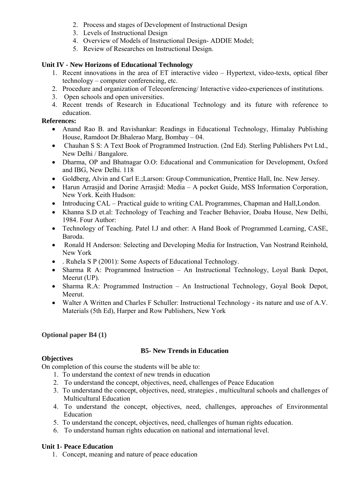- 2. Process and stages of Development of Instructional Design
- 3. Levels of Instructional Design
- 4. Overview of Models of Instructional Design- ADDIE Model;
- 5. Review of Researches on Instructional Design.

### **Unit IV - New Horizons of Educational Technology**

- 1. Recent innovations in the area of ET interactive video Hypertext, video-texts, optical fiber technology – computer conferencing, etc.
- 2. Procedure and organization of Teleconferencing/ Interactive video-experiences of institutions.
- 3. Open schools and open universities.
- 4. Recent trends of Research in Educational Technology and its future with reference to education.

### **References:**

- Anand Rao B. and Ravishankar: Readings in Educational Technology, Himalay Publishing House, Ramdoot Dr.Bhalerao Marg, Bombay – 04.
- Chauhan S S: A Text Book of Programmed Instruction. (2nd Ed). Sterling Publishers Pvt Ltd., New Delhi / Bangalore.
- Dharma, OP and Bhatnagar O.O: Educational and Communication for Development, Oxford and IBG, New Delhi. 118
- Goldberg, Alvin and Carl E.;Larson: Group Communication, Prentice Hall, Inc. New Jersey.
- Harun Arrasjid and Dorine Arrasjid: Media A pocket Guide, MSS Information Corporation, New York. Keith Hudson:
- Introducing CAL Practical guide to writing CAL Programmes, Chapman and Hall, London.
- Khanna S.D et.al: Technology of Teaching and Teacher Behavior, Doaba House, New Delhi, 1984. Four Author:
- Technology of Teaching. Patel I.J and other: A Hand Book of Programmed Learning, CASE, Baroda.
- Ronald H Anderson: Selecting and Developing Media for Instruction, Van Nostrand Reinhold, New York
- . Ruhela S P (2001): Some Aspects of Educational Technology.
- Sharma R A: Programmed Instruction An Instructional Technology, Loyal Bank Depot, Meerut (UP).
- Sharma R.A: Programmed Instruction An Instructional Technology, Goyal Book Depot, Meerut.
- Walter A Written and Charles F Schuller: Instructional Technology its nature and use of A.V. Materials (5th Ed), Harper and Row Publishers, New York

# **Optional paper B4 (1)**

# **B5- New Trends in Education**

# **Objectives**

On completion of this course the students will be able to:

- 1. To understand the context of new trends in education
- 2. To understand the concept, objectives, need, challenges of Peace Education
- 3. To understand the concept, objectives, need, strategies , multicultural schools and challenges of Multicultural Education
- 4. To understand the concept, objectives, need, challenges, approaches of Environmental Education
- 5. To understand the concept, objectives, need, challenges of human rights education.
- 6. To understand human rights education on national and international level.

# **Unit 1- Peace Education**

1. Concept, meaning and nature of peace education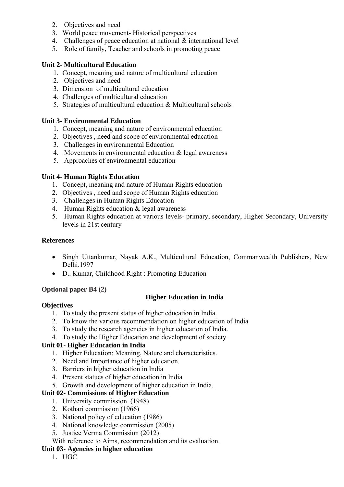- 2. Objectives and need
- 3. World peace movement- Historical perspectives
- 4. Challenges of peace education at national & international level
- 5. Role of family, Teacher and schools in promoting peace

#### **Unit 2- Multicultural Education**

- 1. Concept, meaning and nature of multicultural education
- 2. Objectives and need
- 3. Dimension of multicultural education
- 4. Challenges of multicultural education
- 5. Strategies of multicultural education & Multicultural schools

#### **Unit 3- Environmental Education**

- 1. Concept, meaning and nature of environmental education
- 2. Objectives , need and scope of environmental education
- 3. Challenges in environmental Education
- 4. Movements in environmental education & legal awareness
- 5. Approaches of environmental education

#### **Unit 4- Human Rights Education**

- 1. Concept, meaning and nature of Human Rights education
- 2. Objectives , need and scope of Human Rights education
- 3. Challenges in Human Rights Education
- 4. Human Rights education & legal awareness
- 5. Human Rights education at various levels- primary, secondary, Higher Secondary, University levels in 21st century

#### **References**

- Singh Uttankumar, Nayak A.K., Multicultural Education, Commanwealth Publishers, New Delhi.1997
- D.. Kumar, Childhood Right : Promoting Education

#### **Optional paper B4 (2)**

#### **Higher Education in India**

#### **Objectives**

- 1. To study the present status of higher education in India.
- 2. To know the various recommendation on higher education of India
- 3. To study the research agencies in higher education of India.
- 4. To study the Higher Education and development of society

#### **Unit 01- Higher Education in India**

- 1. Higher Education: Meaning, Nature and characteristics.
- 2. Need and Importance of higher education.
- 3. Barriers in higher education in India
- 4. Present statues of higher education in India
- 5. Growth and development of higher education in India.

#### **Unit 02- Commissions of Higher Education**

- 1. University commission (1948)
- 2. Kothari commission (1966)
- 3. National policy of education (1986)
- 4. National knowledge commission (2005)
- 5. Justice Verma Commission (2012)

#### With reference to Aims, recommendation and its evaluation.

#### **Unit 03- Agencies in higher education**

1. UGC